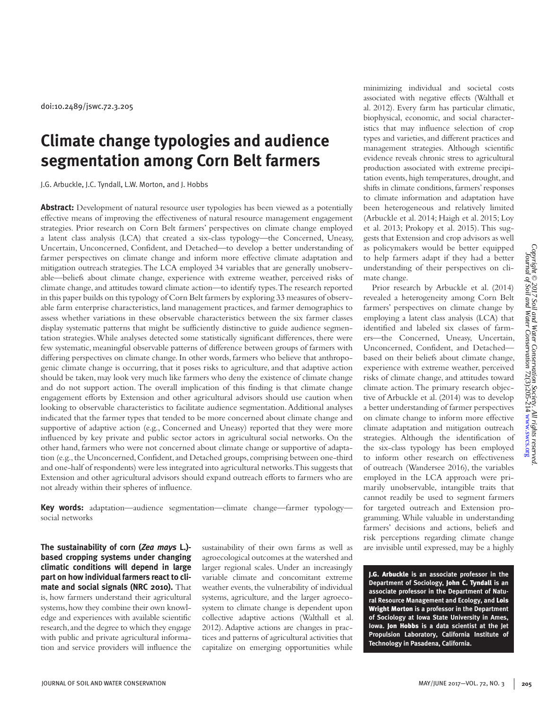# **Climate change typologies and audience segmentation among Corn Belt farmers**

J.G. Arbuckle, J.C. Tyndall, L.W. Morton, and J. Hobbs

**Abstract:** Development of natural resource user typologies has been viewed as a potentially effective means of improving the effectiveness of natural resource management engagement strategies. Prior research on Corn Belt farmers' perspectives on climate change employed a latent class analysis (LCA) that created a six-class typology—the Concerned, Uneasy, Uncertain, Unconcerned, Confident, and Detached—to develop a better understanding of farmer perspectives on climate change and inform more effective climate adaptation and mitigation outreach strategies. The LCA employed 34 variables that are generally unobservable—beliefs about climate change, experience with extreme weather, perceived risks of climate change, and attitudes toward climate action—to identify types. The research reported in this paper builds on this typology of Corn Belt farmers by exploring 33 measures of observable farm enterprise characteristics, land management practices, and farmer demographics to assess whether variations in these observable characteristics between the six farmer classes display systematic patterns that might be sufficiently distinctive to guide audience segmentation strategies. While analyses detected some statistically significant differences, there were few systematic, meaningful observable patterns of difference between groups of farmers with differing perspectives on climate change. In other words, farmers who believe that anthropogenic climate change is occurring, that it poses risks to agriculture, and that adaptive action should be taken, may look very much like farmers who deny the existence of climate change and do not support action. The overall implication of this finding is that climate change engagement efforts by Extension and other agricultural advisors should use caution when looking to observable characteristics to facilitate audience segmentation. Additional analyses indicated that the farmer types that tended to be more concerned about climate change and supportive of adaptive action (e.g., Concerned and Uneasy) reported that they were more influenced by key private and public sector actors in agricultural social networks. On the other hand, farmers who were not concerned about climate change or supportive of adaptation (e.g., the Unconcerned, Confident, and Detached groups, comprising between one-third and one-half of respondents) were less integrated into agricultural networks. This suggests that Extension and other agricultural advisors should expand outreach efforts to farmers who are not already within their spheres of influence.

**Key words:** adaptation—audience segmentation—climate change—farmer typology social networks

**The sustainability of corn (***Zea mays* **L.) based cropping systems under changing climatic conditions will depend in large part on how individual farmers react to climate and social signals (NRC 2010).** That is, how farmers understand their agricultural systems, how they combine their own knowledge and experiences with available scientific research, and the degree to which they engage with public and private agricultural information and service providers will influence the

sustainability of their own farms as well as agroecological outcomes at the watershed and larger regional scales. Under an increasingly variable climate and concomitant extreme weather events, the vulnerability of individual systems, agriculture, and the larger agroecosystem to climate change is dependent upon collective adaptive actions (Walthall et al. 2012). Adaptive actions are changes in practices and patterns of agricultural activities that capitalize on emerging opportunities while minimizing individual and societal costs associated with negative effects (Walthall et al. 2012). Every farm has particular climatic, biophysical, economic, and social characteristics that may influence selection of crop types and varieties, and different practices and management strategies. Although scientific evidence reveals chronic stress to agricultural production associated with extreme precipitation events, high temperatures, drought, and shifts in climate conditions, farmers' responses to climate information and adaptation have been heterogeneous and relatively limited (Arbuckle et al. 2014; Haigh et al. 2015; Loy et al. 2013; Prokopy et al. 2015). This suggests that Extension and crop advisors as well as policymakers would be better equipped to help farmers adapt if they had a better understanding of their perspectives on climate change.

Prior research by Arbuckle et al. (2014) revealed a heterogeneity among Corn Belt farmers' perspectives on climate change by employing a latent class analysis (LCA) that identified and labeled six classes of farmers—the Concerned, Uneasy, Uncertain, Unconcerned, Confident, and Detached based on their beliefs about climate change, experience with extreme weather, perceived risks of climate change, and attitudes toward climate action. The primary research objective of Arbuckle et al. (2014) was to develop a better understanding of farmer perspectives on climate change to inform more effective climate adaptation and mitigation outreach strategies. Although the identification of the six-class typology has been employed to inform other research on effectiveness of outreach (Wandersee 2016), the variables employed in the LCA approach were primarily unobservable, intangible traits that cannot readily be used to segment farmers for targeted outreach and Extension programming. While valuable in understanding farmers' decisions and actions, beliefs and risk perceptions regarding climate change are invisible until expressed, may be a highly

J.G. Arbuckle **is an associate professor in the Department of Sociology,** John C. Tyndall **is an associate professor in the Department of Natural Resource Management and Ecology, and** Lois Wright Morton **is a professor in the Department of Sociology at Iowa State University in Ames, Iowa.** Jon Hobbs **is a data scientist at the Jet Propulsion Laboratory, California Institute of Technology in Pasadena, California.**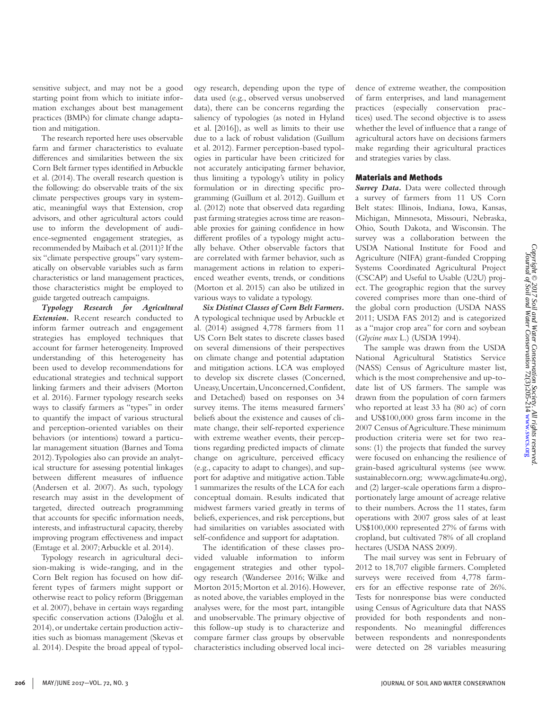sensitive subject, and may not be a good starting point from which to initiate information exchanges about best management practices (BMPs) for climate change adaptation and mitigation.

The research reported here uses observable farm and farmer characteristics to evaluate differences and similarities between the six Corn Belt farmer types identified in Arbuckle et al. (2014). The overall research question is the following: do observable traits of the six climate perspectives groups vary in systematic, meaningful ways that Extension, crop advisors, and other agricultural actors could use to inform the development of audience-segmented engagement strategies, as recommended by Maibach et al. (2011)? If the six "climate perspective groups" vary systematically on observable variables such as farm characteristics or land management practices, those characteristics might be employed to guide targeted outreach campaigns.

*Typology Research for Agricultural Extension.* Recent research conducted to inform farmer outreach and engagement strategies has employed techniques that account for farmer heterogeneity. Improved understanding of this heterogeneity has been used to develop recommendations for educational strategies and technical support linking farmers and their advisers (Morton et al. 2016). Farmer typology research seeks ways to classify farmers as "types" in order to quantify the impact of various structural and perception-oriented variables on their behaviors (or intentions) toward a particular management situation (Barnes and Toma 2012). Typologies also can provide an analytical structure for assessing potential linkages between different measures of influence (Andersen et al. 2007). As such, typology research may assist in the development of targeted, directed outreach programming that accounts for specific information needs, interests, and infrastructural capacity, thereby improving program effectiveness and impact (Emtage et al. 2007; Arbuckle et al. 2014).

Typology research in agricultural decision-making is wide-ranging, and in the Corn Belt region has focused on how different types of farmers might support or otherwise react to policy reform (Briggeman et al. 2007), behave in certain ways regarding specific conservation actions (Daloğlu et al. 2014), or undertake certain production activities such as biomass management (Skevas et al. 2014). Despite the broad appeal of typology research, depending upon the type of data used (e.g., observed versus unobserved data), there can be concerns regarding the saliency of typologies (as noted in Hyland et al. [2016]), as well as limits to their use due to a lack of robust validation (Guillum et al. 2012). Farmer perception-based typologies in particular have been criticized for not accurately anticipating farmer behavior, thus limiting a typology's utility in policy formulation or in directing specific programming (Guillum et al. 2012). Guillum et al. (2012) note that observed data regarding past farming strategies across time are reasonable proxies for gaining confidence in how different profiles of a typology might actually behave. Other observable factors that are correlated with farmer behavior, such as management actions in relation to experienced weather events, trends, or conditions (Morton et al. 2015) can also be utilized in various ways to validate a typology.

*Six Distinct Classes of Corn Belt Farmers.*  A typological technique used by Arbuckle et al. (2014) assigned 4,778 farmers from 11 US Corn Belt states to discrete classes based on several dimensions of their perspectives on climate change and potential adaptation and mitigation actions. LCA was employed to develop six discrete classes (Concerned, Uneasy, Uncertain, Unconcerned, Confident, and Detached) based on responses on 34 survey items. The items measured farmers' beliefs about the existence and causes of climate change, their self-reported experience with extreme weather events, their perceptions regarding predicted impacts of climate change on agriculture, perceived efficacy (e.g., capacity to adapt to changes), and support for adaptive and mitigative action. Table 1 summarizes the results of the LCA for each conceptual domain. Results indicated that midwest farmers varied greatly in terms of beliefs, experiences, and risk perceptions, but had similarities on variables associated with self-confidence and support for adaptation.

The identification of these classes provided valuable information to inform engagement strategies and other typology research (Wandersee 2016; Wilke and Morton 2015; Morton et al. 2016). However, as noted above, the variables employed in the analyses were, for the most part, intangible and unobservable. The primary objective of this follow-up study is to characterize and compare farmer class groups by observable characteristics including observed local incidence of extreme weather, the composition of farm enterprises, and land management practices (especially conservation practices) used. The second objective is to assess whether the level of influence that a range of agricultural actors have on decisions farmers make regarding their agricultural practices and strategies varies by class.

### Materials and Methods

**Survey Data.** Data were collected through a survey of farmers from 11 US Corn Belt states: Illinois, Indiana, Iowa, Kansas, Michigan, Minnesota, Missouri, Nebraska, Ohio, South Dakota, and Wisconsin. The survey was a collaboration between the USDA National Institute for Food and Agriculture (NIFA) grant-funded Cropping Systems Coordinated Agricultural Project (CSCAP) and Useful to Usable (U2U) project. The geographic region that the survey covered comprises more than one-third of the global corn production (USDA NASS 2011; USDA FAS 2012) and is categorized as a "major crop area" for corn and soybean (*Glycine max* L.) (USDA 1994).

The sample was drawn from the USDA National Agricultural Statistics Service (NASS) Census of Agriculture master list, which is the most comprehensive and up-todate list of US farmers. The sample was drawn from the population of corn farmers who reported at least 33 ha (80 ac) of corn and US\$100,000 gross farm income in the 2007 Census of Agriculture. These minimum production criteria were set for two reasons: (1) the projects that funded the survey were focused on enhancing the resilience of grain-based agricultural systems (see www. sustainablecorn.org; www.agclimate4u.org), and (2) larger-scale operations farm a disproportionately large amount of acreage relative to their numbers. Across the 11 states, farm operations with 2007 gross sales of at least US\$100,000 represented 27% of farms with cropland, but cultivated 78% of all cropland hectares (USDA NASS 2009).

The mail survey was sent in February of 2012 to 18,707 eligible farmers. Completed surveys were received from 4,778 farmers for an effective response rate of 26%. Tests for nonresponse bias were conducted using Census of Agriculture data that NASS provided for both respondents and nonrespondents. No meaningful differences between respondents and nonrespondents were detected on 28 variables measuring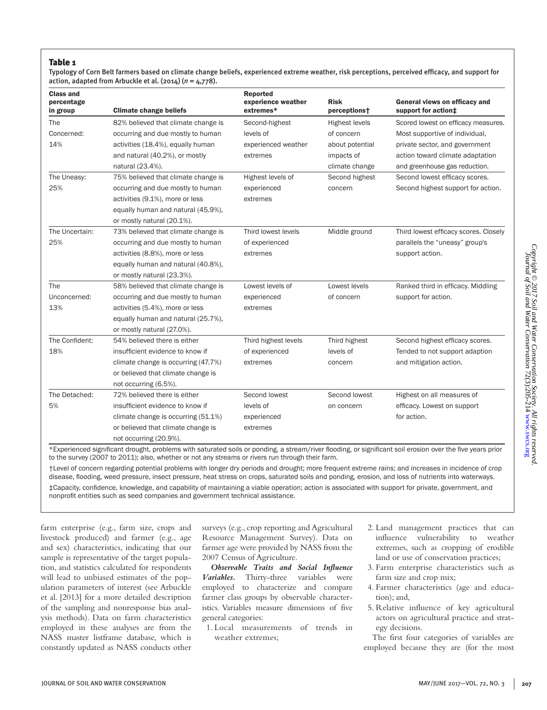# Table 1

Typology of Corn Belt farmers based on climate change beliefs, experienced extreme weather, risk perceptions, perceived efficacy, and support for action, adapted from Arbuckle et al. (2014) (*n* = 4,778).

| <b>Class and</b><br>percentage<br>in group | <b>Climate change beliefs</b>       | <b>Reported</b><br>experience weather<br>extremes* | <b>Risk</b><br>perceptions† | General views on efficacy and<br>support for action‡ |
|--------------------------------------------|-------------------------------------|----------------------------------------------------|-----------------------------|------------------------------------------------------|
| The                                        | 82% believed that climate change is | Second-highest                                     | <b>Highest levels</b>       | Scored lowest on efficacy measures.                  |
| Concerned:                                 | occurring and due mostly to human   | levels of                                          | of concern                  | Most supportive of individual,                       |
| 14%                                        | activities (18.4%), equally human   | experienced weather                                | about potential             | private sector, and government                       |
|                                            | and natural (40.2%), or mostly      | extremes                                           | impacts of                  | action toward climate adaptation                     |
|                                            | natural (23.4%).                    |                                                    | climate change              | and greenhouse gas reduction.                        |
| The Uneasy:                                | 75% believed that climate change is | Highest levels of                                  | Second highest              | Second lowest efficacy scores.                       |
| 25%                                        | occurring and due mostly to human   | experienced                                        | concern                     | Second highest support for action.                   |
|                                            | activities (9.1%), more or less     | extremes                                           |                             |                                                      |
|                                            | equally human and natural (45.9%),  |                                                    |                             |                                                      |
|                                            | or mostly natural (20.1%).          |                                                    |                             |                                                      |
| The Uncertain:                             | 73% believed that climate change is | Third lowest levels                                | Middle ground               | Third lowest efficacy scores. Closely                |
| 25%                                        | occurring and due mostly to human   | of experienced                                     |                             | parallels the "uneasy" group's                       |
|                                            | activities (8.8%), more or less     | extremes                                           |                             | support action.                                      |
|                                            | equally human and natural (40.8%),  |                                                    |                             |                                                      |
|                                            | or mostly natural (23.3%).          |                                                    |                             |                                                      |
| The                                        | 58% believed that climate change is | Lowest levels of                                   | Lowest levels               | Ranked third in efficacy. Middling                   |
| Unconcerned:                               | occurring and due mostly to human   | experienced                                        | of concern                  | support for action.                                  |
| 13%                                        | activities (5.4%), more or less     | extremes                                           |                             |                                                      |
|                                            | equally human and natural (25.7%),  |                                                    |                             |                                                      |
|                                            | or mostly natural (27.0%).          |                                                    |                             |                                                      |
| The Confident:                             | 54% believed there is either        | Third highest levels                               | Third highest               | Second highest efficacy scores.                      |
| 18%                                        | insufficient evidence to know if    | of experienced                                     | levels of                   | Tended to not support adaption                       |
|                                            | climate change is occurring (47.7%) | extremes                                           | concern                     | and mitigation action.                               |
|                                            | or believed that climate change is  |                                                    |                             |                                                      |
|                                            | not occurring (6.5%).               |                                                    |                             |                                                      |
| The Detached:                              | 72% believed there is either        | Second lowest                                      | Second lowest               | Highest on all measures of                           |
| 5%                                         | insufficient evidence to know if    | levels of                                          | on concern                  | efficacy. Lowest on support                          |
|                                            | climate change is occurring (51.1%) | experienced                                        |                             | for action.                                          |
|                                            | or believed that climate change is  | extremes                                           |                             |                                                      |
|                                            | not occurring (20.9%).              |                                                    |                             |                                                      |

\*Experienced significant drought, problems with saturated soils or ponding, a stream/river flooding, or significant soil erosion over the five years prior to the survey (2007 to 2011); also, whether or not any streams or rivers run through their farm.

†Level of concern regarding potential problems with longer dry periods and drought; more frequent extreme rains; and increases in incidence of crop disease, flooding, weed pressure, insect pressure, heat stress on crops, saturated soils and ponding, erosion, and loss of nutrients into waterways. ‡Capacity, confidence, knowledge, and capability of maintaining a viable operation; action is associated with support for private, government, and nonprofit entities such as seed companies and government technical assistance.

farm enterprise (e.g., farm size, crops and livestock produced) and farmer (e.g., age and sex) characteristics, indicating that our sample is representative of the target population, and statistics calculated for respondents will lead to unbiased estimates of the population parameters of interest (see Arbuckle et al. [2013] for a more detailed description of the sampling and nonresponse bias analysis methods). Data on farm characteristics employed in these analyses are from the NASS master listframe database, which is constantly updated as NASS conducts other

surveys (e.g., crop reporting and Agricultural Resource Management Survey). Data on farmer age were provided by NASS from the 2007 Census of Agriculture.

*Observable Traits and Social Influence Variables.* Thirty-three variables were employed to characterize and compare farmer class groups by observable characteristics. Variables measure dimensions of five general categories:

- 1. Local measurements of trends in weather extremes;
- 2. Land management practices that can influence vulnerability to weather extremes, such as cropping of erodible land or use of conservation practices;
- 3. Farm enterprise characteristics such as farm size and crop mix;
- 4. Farmer characteristics (age and education); and,
- 5. Relative influence of key agricultural actors on agricultural practice and strategy decisions.

The first four categories of variables are employed because they are (for the most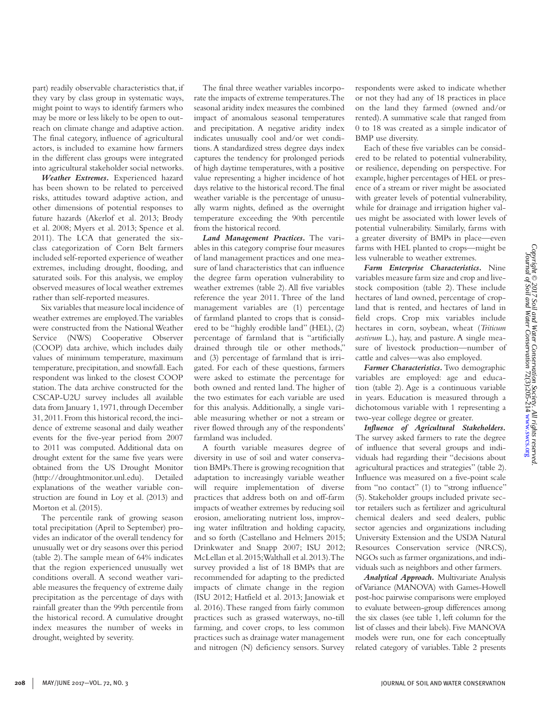part) readily observable characteristics that, if they vary by class group in systematic ways, might point to ways to identify farmers who may be more or less likely to be open to outreach on climate change and adaptive action. The final category, influence of agricultural actors, is included to examine how farmers in the different class groups were integrated into agricultural stakeholder social networks.

*Weather Extremes.* Experienced hazard has been shown to be related to perceived risks, attitudes toward adaptive action, and other dimensions of potential responses to future hazards (Akerlof et al. 2013; Brody et al. 2008; Myers et al. 2013; Spence et al. 2011). The LCA that generated the sixclass categorization of Corn Belt farmers included self-reported experience of weather extremes, including drought, flooding, and saturated soils. For this analysis, we employ observed measures of local weather extremes rather than self-reported measures.

Six variables that measure local incidence of weather extremes are employed. The variables were constructed from the National Weather Service (NWS) Cooperative Observer (COOP) data archive, which includes daily values of minimum temperature, maximum temperature, precipitation, and snowfall. Each respondent was linked to the closest COOP station. The data archive constructed for the CSCAP-U2U survey includes all available data from January 1, 1971, through December 31, 2011. From this historical record, the incidence of extreme seasonal and daily weather events for the five-year period from 2007 to 2011 was computed. Additional data on drought extent for the same five years were obtained from the US Drought Monitor (http://droughtmonitor.unl.edu). Detailed explanations of the weather variable construction are found in Loy et al. (2013) and Morton et al. (2015).

The percentile rank of growing season total precipitation (April to September) provides an indicator of the overall tendency for unusually wet or dry seasons over this period (table 2). The sample mean of 64% indicates that the region experienced unusually wet conditions overall. A second weather variable measures the frequency of extreme daily precipitation as the percentage of days with rainfall greater than the 99th percentile from the historical record. A cumulative drought index measures the number of weeks in drought, weighted by severity.

The final three weather variables incorporate the impacts of extreme temperatures. The seasonal aridity index measures the combined impact of anomalous seasonal temperatures and precipitation. A negative aridity index indicates unusually cool and/or wet conditions. A standardized stress degree days index captures the tendency for prolonged periods of high daytime temperatures, with a positive value representing a higher incidence of hot days relative to the historical record. The final weather variable is the percentage of unusually warm nights, defined as the overnight temperature exceeding the 90th percentile from the historical record.

*Land Management Practices.* The variables in this category comprise four measures of land management practices and one measure of land characteristics that can influence the degree farm operation vulnerability to weather extremes (table 2). All five variables reference the year 2011. Three of the land management variables are (1) percentage of farmland planted to crops that is considered to be "highly erodible land" (HEL), (2) percentage of farmland that is "artificially drained through tile or other methods," and (3) percentage of farmland that is irrigated. For each of these questions, farmers were asked to estimate the percentage for both owned and rented land. The higher of the two estimates for each variable are used for this analysis. Additionally, a single variable measuring whether or not a stream or river flowed through any of the respondents' farmland was included.

A fourth variable measures degree of diversity in use of soil and water conservation BMPs. There is growing recognition that adaptation to increasingly variable weather will require implementation of diverse practices that address both on and off-farm impacts of weather extremes by reducing soil erosion, ameliorating nutrient loss, improving water infiltration and holding capacity, and so forth (Castellano and Helmers 2015; Drinkwater and Snapp 2007; ISU 2012; McLellan et al. 2015; Walthall et al. 2013). The survey provided a list of 18 BMPs that are recommended for adapting to the predicted impacts of climate change in the region (ISU 2012; Hatfield et al. 2013; Janowiak et al. 2016). These ranged from fairly common practices such as grassed waterways, no-till farming, and cover crops, to less common practices such as drainage water management and nitrogen (N) deficiency sensors. Survey respondents were asked to indicate whether or not they had any of 18 practices in place on the land they farmed (owned and/or rented). A summative scale that ranged from 0 to 18 was created as a simple indicator of BMP use diversity.

Each of these five variables can be considered to be related to potential vulnerability, or resilience, depending on perspective. For example, higher percentages of HEL or presence of a stream or river might be associated with greater levels of potential vulnerability, while for drainage and irrigation higher values might be associated with lower levels of potential vulnerability. Similarly, farms with a greater diversity of BMPs in place—even farms with HEL planted to crops—might be less vulnerable to weather extremes.

*Farm Enterprise Characteristics.* Nine variables measure farm size and crop and livestock composition (table 2). These include hectares of land owned, percentage of cropland that is rented, and hectares of land in field crops. Crop mix variables include hectares in corn, soybean, wheat (*Triticum aestivum* L.), hay, and pasture. A single measure of livestock production—number of cattle and calves—was also employed.

*Farmer Characteristics.* Two demographic variables are employed: age and education (table 2). Age is a continuous variable in years. Education is measured through a dichotomous variable with 1 representing a two-year college degree or greater.

*Influence of Agricultural Stakeholders.*  The survey asked farmers to rate the degree of influence that several groups and individuals had regarding their "decisions about agricultural practices and strategies" (table 2). Influence was measured on a five-point scale from "no contact" (1) to "strong influence" (5). Stakeholder groups included private sector retailers such as fertilizer and agricultural chemical dealers and seed dealers, public sector agencies and organizations including University Extension and the USDA Natural Resources Conservation service (NRCS), NGOs such as farmer organizations, and individuals such as neighbors and other farmers.

*Analytical Approach.* Multivariate Analysis of Variance (MANOVA) with Games-Howell post-hoc pairwise comparisons were employed to evaluate between-group differences among the six classes (see table 1, left column for the list of classes and their labels). Five MANOVA models were run, one for each conceptually related category of variables. Table 2 presents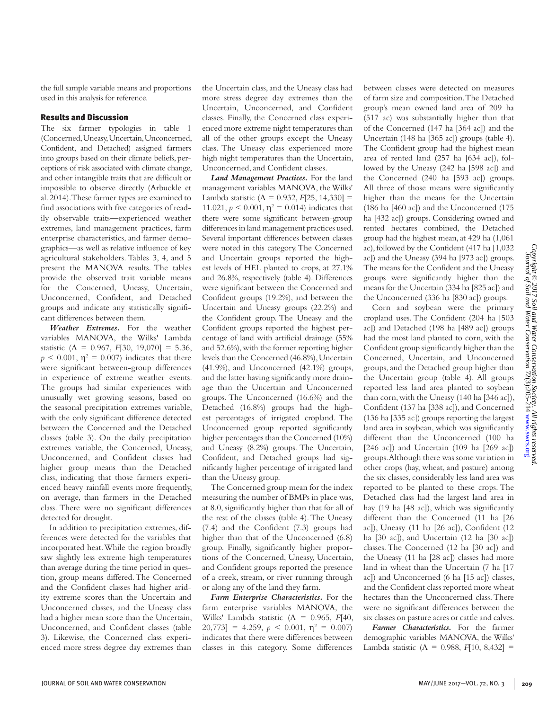the full sample variable means and proportions used in this analysis for reference.

#### Results and Discussion

The six farmer typologies in table 1 (Concerned, Uneasy, Uncertain, Unconcerned, Confident, and Detached) assigned farmers into groups based on their climate beliefs, perceptions of risk associated with climate change, and other intangible traits that are difficult or impossible to observe directly (Arbuckle et al. 2014). These farmer types are examined to find associations with five categories of readily observable traits—experienced weather extremes, land management practices, farm enterprise characteristics, and farmer demographics—as well as relative influence of key agricultural stakeholders. Tables 3, 4, and 5 present the MANOVA results. The tables provide the observed trait variable means for the Concerned, Uneasy, Uncertain, Unconcerned, Confident, and Detached groups and indicate any statistically significant differences between them.

*Weather Extremes.* For the weather variables MANOVA, the Wilks' Lambda statistic  $(Λ = 0.967, F[30, 19,070] = 5.36,$  $p < 0.001$ ,  $\eta^2 = 0.007$ ) indicates that there were significant between-group differences in experience of extreme weather events. The groups had similar experiences with unusually wet growing seasons, based on the seasonal precipitation extremes variable, with the only significant difference detected between the Concerned and the Detached classes (table 3). On the daily precipitation extremes variable, the Concerned, Uneasy, Unconcerned, and Confident classes had higher group means than the Detached class, indicating that those farmers experienced heavy rainfall events more frequently, on average, than farmers in the Detached class. There were no significant differences detected for drought.

In addition to precipitation extremes, differences were detected for the variables that incorporated heat. While the region broadly saw slightly less extreme high temperatures than average during the time period in question, group means differed. The Concerned and the Confident classes had higher aridity extreme scores than the Uncertain and Unconcerned classes, and the Uneasy class had a higher mean score than the Uncertain, Unconcerned, and Confident classes (table 3). Likewise, the Concerned class experienced more stress degree day extremes than

the Uncertain class, and the Uneasy class had more stress degree day extremes than the Uncertain, Unconcerned, and Confident classes. Finally, the Concerned class experienced more extreme night temperatures than all of the other groups except the Uneasy class. The Uneasy class experienced more high night temperatures than the Uncertain, Unconcerned, and Confident classes.

*Land Management Practices.* For the land management variables MANOVA, the Wilks' Lambda statistic ( $\Lambda = 0.932, F[25, 14, 330] =$ 11.021,  $p < 0.001$ ,  $\eta^2 = 0.014$ ) indicates that there were some significant between-group differences in land management practices used. Several important differences between classes were noted in this category. The Concerned and Uncertain groups reported the highest levels of HEL planted to crops, at 27.1% and 26.8%, respectively (table 4). Differences were significant between the Concerned and Confident groups (19.2%), and between the Uncertain and Uneasy groups (22.2%) and the Confident group. The Uneasy and the Confident groups reported the highest percentage of land with artificial drainage (55% and 52.6%), with the former reporting higher levels than the Concerned (46.8%), Uncertain (41.9%), and Unconcerned (42.1%) groups, and the latter having significantly more drainage than the Uncertain and Unconcerned groups. The Unconcerned (16.6%) and the Detached (16.8%) groups had the highest percentages of irrigated cropland. The Unconcerned group reported significantly higher percentages than the Concerned (10%) and Uneasy (8.2%) groups. The Uncertain, Confident, and Detached groups had significantly higher percentage of irrigated land than the Uneasy group.

The Concerned group mean for the index measuring the number of BMPs in place was, at 8.0, significantly higher than that for all of the rest of the classes (table 4). The Uneasy (7.4) and the Confident (7.3) groups had higher than that of the Unconcerned (6.8) group. Finally, significantly higher proportions of the Concerned, Uneasy, Uncertain, and Confident groups reported the presence of a creek, stream, or river running through or along any of the land they farm.

*Farm Enterprise Characteristics.* For the farm enterprise variables MANOVA, the Wilks' Lambda statistic (Λ = 0.965, *F*[40,  $20,773$ ] = 4.259,  $p < 0.001$ ,  $\eta^2 = 0.007$ ) indicates that there were differences between classes in this category. Some differences

between classes were detected on measures of farm size and composition. The Detached group's mean owned land area of 209 ha (517 ac) was substantially higher than that of the Concerned (147 ha [364 ac]) and the Uncertain (148 ha [365 ac]) groups (table 4). The Confident group had the highest mean area of rented land (257 ha [634 ac]), followed by the Uneasy (242 ha [598 ac]) and the Concerned (240 ha [593 ac]) groups. All three of those means were significantly higher than the means for the Uncertain (186 ha [460 ac]) and the Unconcerned (175 ha [432 ac]) groups. Considering owned and rented hectares combined, the Detached group had the highest mean, at 429 ha (1,061 ac), followed by the Confident (417 ha [1,032 ac]) and the Uneasy (394 ha [973 ac]) groups. The means for the Confident and the Uneasy groups were significantly higher than the means for the Uncertain (334 ha [825 ac]) and the Unconcerned (336 ha [830 ac]) groups.

Corn and soybean were the primary cropland uses. The Confident (204 ha [503 ac]) and Detached (198 ha [489 ac]) groups had the most land planted to corn, with the Confident group significantly higher than the Concerned, Uncertain, and Unconcerned groups, and the Detached group higher than the Uncertain group (table 4). All groups reported less land area planted to soybean than corn, with the Uneasy (140 ha [346 ac]), Confident (137 ha [338 ac]), and Concerned (136 ha [335 ac]) groups reporting the largest land area in soybean, which was significantly different than the Unconcerned (100 ha [246 ac]) and Uncertain  $(109 \text{ ha } [269 \text{ ac}])$ groups. Although there was some variation in other crops (hay, wheat, and pasture) among the six classes, considerably less land area was reported to be planted to these crops. The Detached class had the largest land area in hay (19 ha [48 ac]), which was significantly different than the Concerned (11 ha [26 ac]), Uneasy (11 ha [26 ac]), Confident (12 ha [30 ac]), and Uncertain (12 ha [30 ac]) classes. The Concerned (12 ha [30 ac]) and the Uneasy (11 ha [28 ac]) classes had more land in wheat than the Uncertain (7 ha [17 ac]) and Unconcerned (6 ha [15 ac]) classes, and the Confident class reported more wheat hectares than the Unconcerned class. There were no significant differences between the six classes on pasture acres or cattle and calves.

*Farmer Characteristics.* For the farmer demographic variables MANOVA, the Wilks' Lambda statistic ( $\Lambda = 0.988, F[10, 8, 432] =$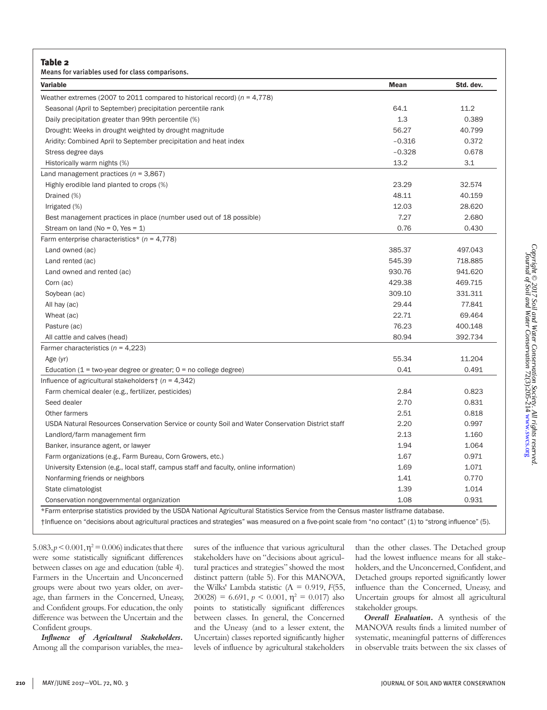| Variable                                                                                         | <b>Mean</b> | Std. dev. |
|--------------------------------------------------------------------------------------------------|-------------|-----------|
| Weather extremes (2007 to 2011 compared to historical record) ( $n = 4,778$ )                    |             |           |
| Seasonal (April to September) precipitation percentile rank                                      | 64.1        | 11.2      |
| Daily precipitation greater than 99th percentile (%)                                             | 1.3         | 0.389     |
| Drought: Weeks in drought weighted by drought magnitude                                          | 56.27       | 40.799    |
| Aridity: Combined April to September precipitation and heat index                                | $-0.316$    | 0.372     |
| Stress degree days                                                                               | $-0.328$    | 0.678     |
| Historically warm nights (%)                                                                     | 13.2        | 3.1       |
| Land management practices ( $n = 3,867$ )                                                        |             |           |
| Highly erodible land planted to crops (%)                                                        | 23.29       | 32.574    |
| Drained (%)                                                                                      | 48.11       | 40.159    |
| Irrigated (%)                                                                                    | 12.03       | 28.620    |
| Best management practices in place (number used out of 18 possible)                              | 7.27        | 2.680     |
| Stream on land ( $No = 0$ , Yes = 1)                                                             | 0.76        | 0.430     |
| Farm enterprise characteristics* ( $n = 4,778$ )                                                 |             |           |
| Land owned (ac)                                                                                  | 385.37      | 497.043   |
| Land rented (ac)                                                                                 | 545.39      | 718.885   |
| Land owned and rented (ac)                                                                       | 930.76      | 941.620   |
| Corn (ac)                                                                                        | 429.38      | 469.715   |
| Soybean (ac)                                                                                     | 309.10      | 331.311   |
| All hay (ac)                                                                                     | 29.44       | 77.841    |
| Wheat (ac)                                                                                       | 22.71       | 69.464    |
| Pasture (ac)                                                                                     | 76.23       | 400.148   |
| All cattle and calves (head)                                                                     | 80.94       | 392.734   |
| Farmer characteristics ( $n = 4,223$ )                                                           |             |           |
| Age (yr)                                                                                         | 55.34       | 11.204    |
| Education (1 = two-year degree or greater; $0 =$ no college degree)                              | 0.41        | 0.491     |
| Influence of agricultural stakeholders $\uparrow$ (n = 4,342)                                    |             |           |
| Farm chemical dealer (e.g., fertilizer, pesticides)                                              | 2.84        | 0.823     |
| Seed dealer                                                                                      | 2.70        | 0.831     |
| Other farmers                                                                                    | 2.51        | 0.818     |
| USDA Natural Resources Conservation Service or county Soil and Water Conservation District staff | 2.20        | 0.997     |
| Landlord/farm management firm                                                                    | 2.13        | 1.160     |
| Banker, insurance agent, or lawyer                                                               | 1.94        | 1.064     |
| Farm organizations (e.g., Farm Bureau, Corn Growers, etc.)                                       | 1.67        | 0.971     |
| University Extension (e.g., local staff, campus staff and faculty, online information)           | 1.69        | 1.071     |
| Nonfarming friends or neighbors                                                                  | 1.41        | 0.770     |
| State climatologist                                                                              | 1.39        | 1.014     |
| Conservation nongovernmental organization                                                        | 1.08        | 0.931     |

†Influence on "decisions about agricultural practices and strategies" was measured on a five-point scale from "no contact" (1) to "strong influence" (5).

 $5.083, p \le 0.001, \eta^2 = 0.006$ ) indicates that there were some statistically significant differences between classes on age and education (table 4). Farmers in the Uncertain and Unconcerned groups were about two years older, on average, than farmers in the Concerned, Uneasy, and Confident groups. For education, the only difference was between the Uncertain and the Confident groups.

*Influence of Agricultural Stakeholders.*  Among all the comparison variables, the measures of the influence that various agricultural stakeholders have on "decisions about agricultural practices and strategies" showed the most distinct pattern (table 5). For this MANOVA, the Wilks' Lambda statistic ( $Λ = 0.919, F(55,$  $20028$ ) = 6.691,  $p < 0.001$ ,  $\eta^2 = 0.017$ ) also points to statistically significant differences between classes. In general, the Concerned and the Uneasy (and to a lesser extent, the Uncertain) classes reported significantly higher levels of influence by agricultural stakeholders

than the other classes. The Detached group had the lowest influence means for all stakeholders, and the Unconcerned, Confident, and Detached groups reported significantly lower influence than the Concerned, Uneasy, and Uncertain groups for almost all agricultural stakeholder groups.

*Overall Evaluation.* A synthesis of the MANOVA results finds a limited number of systematic, meaningful patterns of differences in observable traits between the six classes of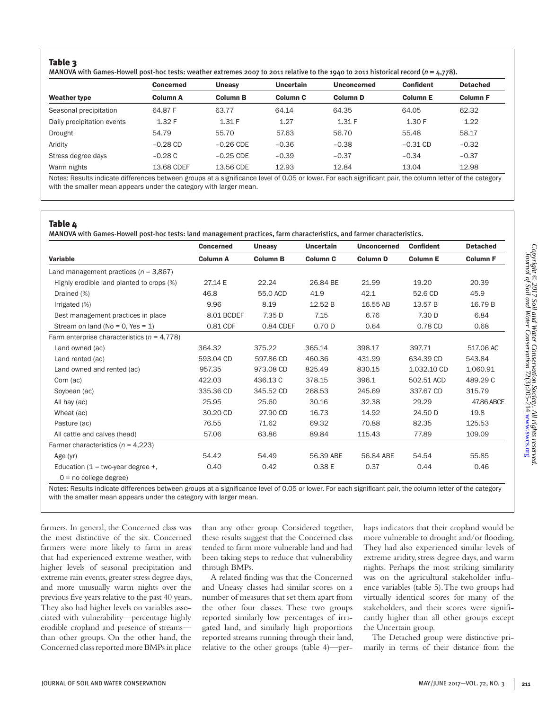# Table 3

MANOVA with Games-Howell post-hoc tests: weather extremes 2007 to 2011 relative to the 1940 to 2011 historical record (*n* = 4,778).

|                            | <b>Concerned</b> | Uneasy          | <b>Uncertain</b>    | Unconcerned     | <b>Confident</b> | <b>Detached</b> |
|----------------------------|------------------|-----------------|---------------------|-----------------|------------------|-----------------|
| Weather type               | Column A         | <b>Column B</b> | Column <sub>C</sub> | <b>Column D</b> | <b>Column E</b>  | <b>Column F</b> |
| Seasonal precipitation     | 64.87 F          | 63.77           | 64.14               | 64.35           | 64.05            | 62.32           |
| Daily precipitation events | 1.32 F           | 1.31 F          | 1.27                | 1.31 F          | 1.30 F           | 1.22            |
| Drought                    | 54.79            | 55.70           | 57.63               | 56.70           | 55.48            | 58.17           |
| Aridity                    | $-0.28$ CD       | $-0.26$ CDE     | $-0.36$             | $-0.38$         | $-0.31$ CD       | $-0.32$         |
| Stress degree days         | $-0.28C$         | $-0.25$ CDE     | $-0.39$             | $-0.37$         | $-0.34$          | $-0.37$         |
| Warm nights                | 13.68 CDEF       | 13.56 CDE       | 12.93               | 12.84           | 13.04            | 12.98           |

Notes: Results indicate differences between groups at a significance level of 0.05 or lower. For each significant pair, the column letter of the category with the smaller mean appears under the category with larger mean.

### Table 4

MANOVA with Games-Howell post-hoc tests: land management practices, farm characteristics, and farmer characteristics.

|                                                 | <b>Concerned</b> |                 | <b>Uncertain</b> | <b>Unconcerned</b> | <b>Confident</b> | <b>Detached</b> |  |
|-------------------------------------------------|------------------|-----------------|------------------|--------------------|------------------|-----------------|--|
| Variable                                        | <b>Column A</b>  | <b>Column B</b> | <b>Column C</b>  | <b>Column D</b>    | <b>Column E</b>  | <b>Column F</b> |  |
| Land management practices ( $n = 3,867$ )       |                  |                 |                  |                    |                  |                 |  |
| Highly erodible land planted to crops (%)       | 27.14 E          | 22.24           | 26.84 BE         | 21.99              | 19.20            | 20.39           |  |
| Drained (%)                                     | 46.8             | 55.0 ACD        | 41.9             | 42.1               | 52.6 CD          | 45.9            |  |
| Irrigated (%)                                   | 9.96             | 8.19            | 12.52 B          | 16.55 AB           | 13.57 B          | 16.79 B         |  |
| Best management practices in place              | 8.01 BCDEF       | 7.35 D          | 7.15             | 6.76               | 7.30 D           | 6.84            |  |
| Stream on land ( $No = 0$ , $Yes = 1$ )         | 0.81 CDF         | 0.84 CDEF       | 0.70 D           | 0.64               | 0.78 CD          | 0.68            |  |
| Farm enterprise characteristics ( $n = 4,778$ ) |                  |                 |                  |                    |                  |                 |  |
| Land owned (ac)                                 | 364.32           | 375.22          | 365.14           | 398.17             | 397.71           | 517.06 AC       |  |
| Land rented (ac)                                | 593.04 CD        | 597.86 CD       | 460.36           | 431.99             | 634.39 CD        | 543.84          |  |
| Land owned and rented (ac)                      | 957.35           | 973.08 CD       | 825.49           | 830.15             | 1,032.10 CD      | 1,060.91        |  |
| Corn (ac)                                       | 422.03           | 436.13 C        | 378.15           | 396.1              | 502.51 ACD       | 489.29 C        |  |
| Soybean (ac)                                    | 335.36 CD        | 345.52 CD       | 268.53           | 245.69             | 337.67 CD        | 315.79          |  |
| All hay (ac)                                    | 25.95            | 25.60           | 30.16            | 32.38              | 29.29            | 47.86 ABCE      |  |
| Wheat (ac)                                      | 30.20 CD         | 27.90 CD        | 16.73            | 14.92              | 24.50 D          | 19.8            |  |
| Pasture (ac)                                    | 76.55            | 71.62           | 69.32            | 70.88              | 82.35            | 125.53          |  |
| All cattle and calves (head)                    | 57.06            | 63.86           | 89.84            | 115.43             | 77.89            | 109.09          |  |
| Farmer characteristics ( $n = 4,223$ )          |                  |                 |                  |                    |                  |                 |  |
| Age (yr)                                        | 54.42            | 54.49           | 56.39 ABE        | 56.84 ABE          | 54.54            | 55.85           |  |
| Education (1 = two-year degree +,               | 0.40             | 0.42            | 0.38 E           | 0.37               | 0.44             | 0.46            |  |
| $0 = no$ college degree)                        |                  |                 |                  |                    |                  |                 |  |

Notes: Results indicate differences between groups at a significance level of 0.05 or lower. For each significant pair, the column letter of the category with the smaller mean appears under the category with larger mean.

farmers. In general, the Concerned class was the most distinctive of the six. Concerned farmers were more likely to farm in areas that had experienced extreme weather, with higher levels of seasonal precipitation and extreme rain events, greater stress degree days, and more unusually warm nights over the previous five years relative to the past 40 years. They also had higher levels on variables associated with vulnerability—percentage highly erodible cropland and presence of streams than other groups. On the other hand, the Concerned class reported more BMPs in place

than any other group. Considered together, these results suggest that the Concerned class tended to farm more vulnerable land and had been taking steps to reduce that vulnerability through BMPs.

A related finding was that the Concerned and Uneasy classes had similar scores on a number of measures that set them apart from the other four classes. These two groups reported similarly low percentages of irrigated land, and similarly high proportions reported streams running through their land, relative to the other groups (table 4)—perhaps indicators that their cropland would be more vulnerable to drought and/or flooding. They had also experienced similar levels of extreme aridity, stress degree days, and warm nights. Perhaps the most striking similarity was on the agricultural stakeholder influence variables (table 5). The two groups had virtually identical scores for many of the stakeholders, and their scores were significantly higher than all other groups except the Uncertain group.

The Detached group were distinctive primarily in terms of their distance from the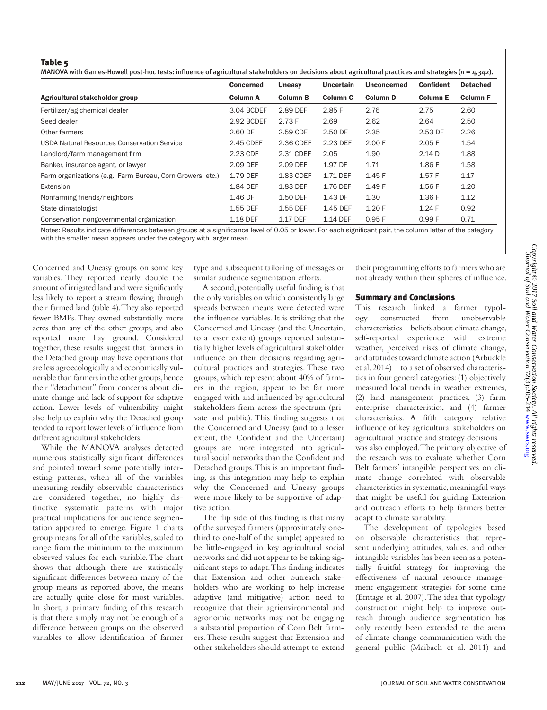MANOVA with Games-Howell post-hoc tests: influence of agricultural stakeholders on decisions about agricultural practices and strategies (*n* = 4,342).

|                                                            | <b>Concerned</b> | Uneasy          | Uncertain       | <b>Unconcerned</b> | <b>Confident</b> | <b>Detached</b> |
|------------------------------------------------------------|------------------|-----------------|-----------------|--------------------|------------------|-----------------|
| Agricultural stakeholder group                             | <b>Column A</b>  | <b>Column B</b> | <b>Column C</b> | <b>Column D</b>    | <b>Column E</b>  | <b>Column F</b> |
| Fertilizer/ag chemical dealer                              | 3.04 BCDEF       | 2.89 DEF        | 2.85 F          | 2.76               | 2.75             | 2.60            |
| Seed dealer                                                | 2.92 BCDEF       | 2.73 F          | 2.69            | 2.62               | 2.64             | 2.50            |
| Other farmers                                              | 2.60 DF          | 2.59 CDF        | 2.50 DF         | 2.35               | 2.53 DF          | 2.26            |
| <b>USDA Natural Resources Conservation Service</b>         | 2.45 CDEF        | 2.36 CDEF       | 2.23 DEF        | 2.00 F             | 2.05 F           | 1.54            |
| Landlord/farm management firm                              | 2.23 CDF         | 2.31 CDEF       | 2.05            | 1.90               | 2.14 D           | 1.88            |
| Banker, insurance agent, or lawyer                         | 2.09 DEF         | 2.09 DEF        | 1.97 DF         | 1.71               | 1.86 F           | 1.58            |
| Farm organizations (e.g., Farm Bureau, Corn Growers, etc.) | 1.79 DEF         | 1.83 CDEF       | 1.71 DEF        | 1.45 F             | 1.57 F           | 1.17            |
| Extension                                                  | 1.84 DEF         | 1.83 DEF        | 1.76 DEF        | 1.49 F             | 1.56F            | 1.20            |
| Nonfarming friends/neighbors                               | 1.46 DF          | 1.50 DEF        | 1.43 DF         | 1.30               | 1.36 F           | 1.12            |
| State climatologist                                        | 1.55 DEF         | 1.55 DEF        | 1.45 DEF        | 1.20 F             | 1.24 F           | 0.92            |
| Conservation nongovernmental organization                  | 1.18 DEF         | 1.17 DEF        | 1.14 DEF        | 0.95F              | 0.99 F           | 0.71            |

Notes: Results indicate differences between groups at a significance level of 0.05 or lower. For each significant pair, the column letter of the category with the smaller mean appears under the category with larger mean.

Concerned and Uneasy groups on some key variables. They reported nearly double the amount of irrigated land and were significantly less likely to report a stream flowing through their farmed land (table 4). They also reported fewer BMPs. They owned substantially more acres than any of the other groups, and also reported more hay ground. Considered together, these results suggest that farmers in the Detached group may have operations that are less agroecologically and economically vulnerable than farmers in the other groups, hence their "detachment" from concerns about climate change and lack of support for adaptive action. Lower levels of vulnerability might also help to explain why the Detached group tended to report lower levels of influence from different agricultural stakeholders.

While the MANOVA analyses detected numerous statistically significant differences and pointed toward some potentially interesting patterns, when all of the variables measuring readily observable characteristics are considered together, no highly distinctive systematic patterns with major practical implications for audience segmentation appeared to emerge. Figure 1 charts group means for all of the variables, scaled to range from the minimum to the maximum observed values for each variable. The chart shows that although there are statistically significant differences between many of the group means as reported above, the means are actually quite close for most variables. In short, a primary finding of this research is that there simply may not be enough of a difference between groups on the observed variables to allow identification of farmer type and subsequent tailoring of messages or similar audience segmentation efforts.

A second, potentially useful finding is that the only variables on which consistently large spreads between means were detected were the influence variables. It is striking that the Concerned and Uneasy (and the Uncertain, to a lesser extent) groups reported substantially higher levels of agricultural stakeholder influence on their decisions regarding agricultural practices and strategies. These two groups, which represent about 40% of farmers in the region, appear to be far more engaged with and influenced by agricultural stakeholders from across the spectrum (private and public). This finding suggests that the Concerned and Uneasy (and to a lesser extent, the Confident and the Uncertain) groups are more integrated into agricultural social networks than the Confident and Detached groups. This is an important finding, as this integration may help to explain why the Concerned and Uneasy groups were more likely to be supportive of adaptive action.

The flip side of this finding is that many of the surveyed farmers (approximately onethird to one-half of the sample) appeared to be little-engaged in key agricultural social networks and did not appear to be taking significant steps to adapt. This finding indicates that Extension and other outreach stakeholders who are working to help increase adaptive (and mitigative) action need to recognize that their agrienvironmental and agronomic networks may not be engaging a substantial proportion of Corn Belt farmers. These results suggest that Extension and other stakeholders should attempt to extend

their programming efforts to farmers who are not already within their spheres of influence.

# Summary and Conclusions

This research linked a farmer typology constructed from unobservable characteristics—beliefs about climate change, self-reported experience with extreme weather, perceived risks of climate change, and attitudes toward climate action (Arbuckle et al. 2014)—to a set of observed characteristics in four general categories: (1) objectively measured local trends in weather extremes, (2) land management practices, (3) farm enterprise characteristics, and (4) farmer characteristics. A fifth category—relative influence of key agricultural stakeholders on agricultural practice and strategy decisions was also employed. The primary objective of the research was to evaluate whether Corn Belt farmers' intangible perspectives on climate change correlated with observable characteristics in systematic, meaningful ways that might be useful for guiding Extension and outreach efforts to help farmers better adapt to climate variability.

The development of typologies based on observable characteristics that represent underlying attitudes, values, and other intangible variables has been seen as a potentially fruitful strategy for improving the effectiveness of natural resource management engagement strategies for some time (Emtage et al. 2007). The idea that typology construction might help to improve outreach through audience segmentation has only recently been extended to the arena of climate change communication with the general public (Maibach et al. 2011) and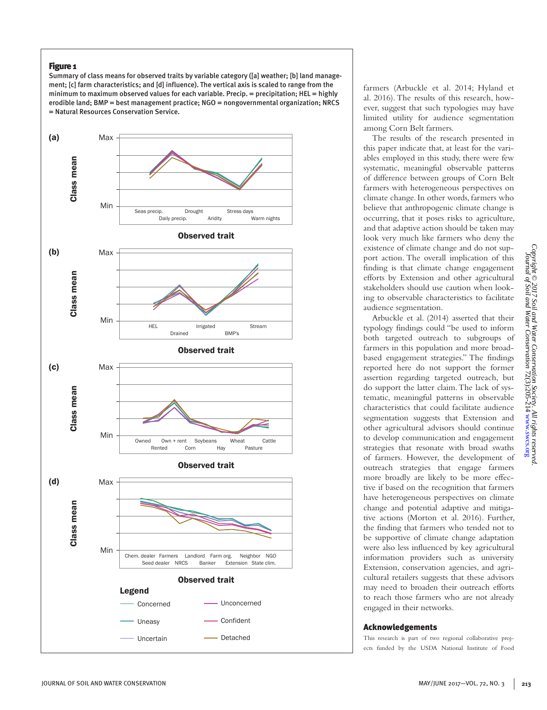# Figure 1

Summary of class means for observed traits by variable category ([a] weather; [b] land management; [c] farm characteristics; and [d] influence). The vertical axis is scaled to range from the minimum to maximum observed values for each variable. Precip. = precipitation; HEL = highly erodible land; BMP = best management practice; NGO = nongovernmental organization; NRCS = Natural Resources Conservation Service.



farmers (Arbuckle et al. 2014; Hyland et al. 2016). The results of this research, however, suggest that such typologies may have limited utility for audience segmentation among Corn Belt farmers.

The results of the research presented in this paper indicate that, at least for the variables employed in this study, there were few systematic, meaningful observable patterns of difference between groups of Corn Belt farmers with heterogeneous perspectives on climate change. In other words, farmers who believe that anthropogenic climate change is occurring, that it poses risks to agriculture, and that adaptive action should be taken may look very much like farmers who deny the existence of climate change and do not support action. The overall implication of this finding is that climate change engagement efforts by Extension and other agricultural stakeholders should use caution when looking to observable characteristics to facilitate audience segmentation.

Arbuckle et al. (2014) asserted that their typology findings could "be used to inform both targeted outreach to subgroups of farmers in this population and more broadbased engagement strategies." The findings reported here do not support the former assertion regarding targeted outreach, but do support the latter claim. The lack of systematic, meaningful patterns in observable characteristics that could facilitate audience segmentation suggests that Extension and other agricultural advisors should continue to develop communication and engagement strategies that resonate with broad swaths of farmers. However, the development of outreach strategies that engage farmers more broadly are likely to be more effective if based on the recognition that farmers have heterogeneous perspectives on climate change and potential adaptive and mitigative actions (Morton et al. 2016). Further, the finding that farmers who tended not to be supportive of climate change adaptation were also less influenced by key agricultural information providers such as university Extension, conservation agencies, and agricultural retailers suggests that these advisors may need to broaden their outreach efforts to reach those farmers who are not already engaged in their networks.

### Acknowledgements

This research is part of two regional collaborative projects funded by the USDA National Institute of Food